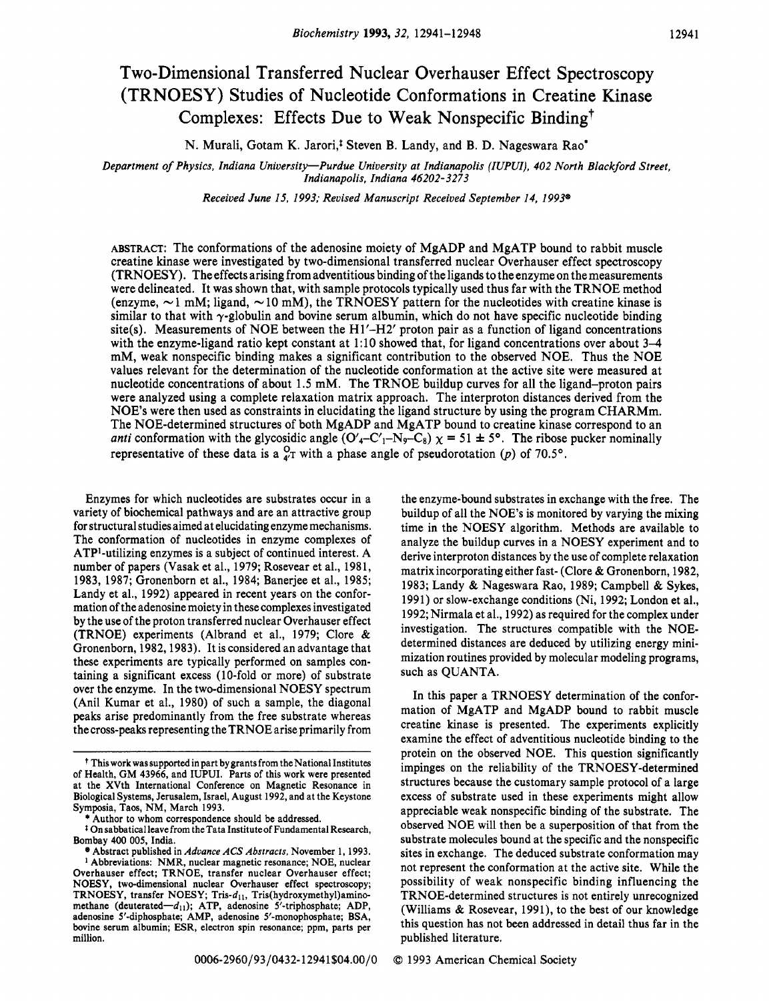# **Two-Dimensional Transferred Nuclear Overhauser Effect Spectroscopy (TRNOESY) Studies of Nucleotide Conformations in Creatine Kinase Complexes: Effects Due to Weak Nonspecific Binding7**

N. Murali, Gotam K. Jarori,<sup>†</sup> Steven B. Landy, and B. D. Nageswara Rao<sup>\*</sup>

*Department of Physics, Indiana University-Purdue University at Indianapolis (IUPUI), 402 North Blackford Street, Indianapolis, Indiana 46202-3273* 

*Received June 15, 1993; Revised Manuscript Received September 14, 1993'* 

**ABSTRACT:** The conformations of the adenosine moiety of MgADP and MgATP bound to rabbit muscle creatine kinase were investigated by two-dimensional transferred nuclear Overhauser effect spectroscopy (TRNOESY). The effects arising from adventitious binding of the ligands to the enzyme on the measurements were delineated. It was shown that, with sample protocols typically used thus far with the TRNOE method (enzyme,  $\sim$  1 mM; ligand,  $\sim$  10 mM), the TRNOESY pattern for the nucleotides with creatine kinase is similar to that with  $\gamma$ -globulin and bovine serum albumin, which do not have specific nucleotide binding site(s). Measurements of NOE between the **Hl'-H2'** proton pair as a function of ligand concentrations with the enzyme-ligand ratio kept constant at 1:10 showed that, for ligand concentrations over about 3–4 mM, weak nonspecific binding makes a significant contribution to the observed NOE. Thus the NOE values relevant for the determination of the nucleotide conformation at the active site were measured at nucleotide concentrations of about 1.5 mM. The TRNOE buildup curves for all the ligand-proton pairs were analyzed using a complete relaxation matrix approach. The interproton distances derived from the NOE's were then used as constraints in elucidating the ligand structure by using the program CHARMm. The NOE-determined structures of both MgADP and MgATP bound to creatine kinase correspond to an *anti* conformation with the glycosidic angle  $(O'_{4}-C'_{1}-N_{9}-C_{8})$   $\chi = 51 \pm 5^{\circ}$ . The ribose pucker nominally representative of these data is a  $_{4}^{0}$ <sub>T</sub> with a phase angle of pseudorotation (p) of 70.5°.

Enzymes for which nucleotides are substrates occur in a variety of biochemical pathways and are an attractive group for structural studies aimed at elucidating enzyme mechanisms. The conformation of nucleotides in enzyme complexes of  $ATP<sup>1</sup>$ -utilizing enzymes is a subject of continued interest. A number of papers (Vasak et al., **1979;** Rosevear et al., **1981, 1983, 1987;** Gronenborn et al., **1984;** Banerjee et al., **1985;**  Landy et al., **1992)** appeared in recent years on the conformation of the adenosine moiety in these complexes investigated by the use of the proton transferred nuclear Overhauser effect (TRNOE) experiments (Albrand et al., **1979;** Clore & Gronenborn, **1982,1983).** It is considered an advantage that these experiments are typically performed on samples containing a significant excess (10-fold or more) of substrate over the enzyme. In the two-dimensional NOESY spectrum (Ani1 Kumar et al., **1980)** of such a sample, the diagonal peaks arise predominantly from the free substrate whereas the cross-peaks representing the TRNOE arise primarily from

the enzyme-bound substrates in exchange with the free. The buildup of all the NOE's is monitored by varying the mixing time in the NOESY algorithm. Methods are available to analyze the buildup curves in a NOESY experiment and to derive interproton distances by the use of complete relaxation matrix incorporating either fast- (Clore & Gronenborn, **1982, 1983;** Landy & Nageswara Rao, **1989;** Campbell & Sykes, **1991)** or slow-exchange conditions (Ni, **1992;** London et al., **1992;** Nirmala et al., **1992)** as required for the complex under investigation. The structures compatible with the **NOE**determined distances are deduced by utilizing energy minimization routines provided by molecular modeling programs, such as QUANTA.

In this paper a TRNOESY determination of the conformation of MgATP and MgADP bound to rabbit muscle creatine kinase is presented. The experiments explicitly examine the effect of adventitious nucleotide binding to the protein on the observed NOE. This question significantly impinges on the reliability of the TRNOESY-determined structures because the customary sample protocol of a large excess of substrate used in these experiments might allow appreciable weak nonspecific binding of the substrate. The observed NOE will then be a superposition of that from the substrate molecules bound at the specific and the nonspecific sites in exchange. The deduced substrate conformation may not represent the conformation at the active site. While the possibility of weak nonspecific binding influencing the TRNOE-determined structures is not entirely unrecognized (Williams & Rosevear, **1991),** to the best of our knowledge this question has not been addressed in detail thus far in the published literature.

f **Thisworkwassupportedin part by grants from theNational Institutes of Health, GM 43966, and IUPUI. Parts of this work were presented at the XVth International Conference** on **Magnetic Resonance in Biological Systems, Jerusalem, Israel, August 1992, and at the Keystone Symposia, Taos, NM, March 1993.** 

<sup>\*</sup> **Author to whom correspondence should be addressed.** 

<sup>&</sup>lt;sup>1</sup> On sabbatical leave from the Tata Institute of Fundamental Research, **Bombay 400 005, India.** 

**Abstract published in** *Advance ACS Abstracts,* **November 1, 1993. Abbreviations: NMR, nuclear magnetic resonance; NOE, nuclear Overhauser effect; TRNOE, transfer nuclear Overhauser effect; NOESY, two-dimensional nuclear Overhauser effect spectroscopy;**  TRNOESY, transfer NOESY; Tris-d<sub>11</sub>, Tris(hydroxymethyl)aminomethane (deuterated-d<sub>11</sub>); ATP, adenosine 5'-triphosphate; ADP, **adenosine 5'-diphosphate; AMP, adenosine 5'-monophosphate; BSA, bovine serum albumin; ESR, electron spin resonance; ppm, parts per million.**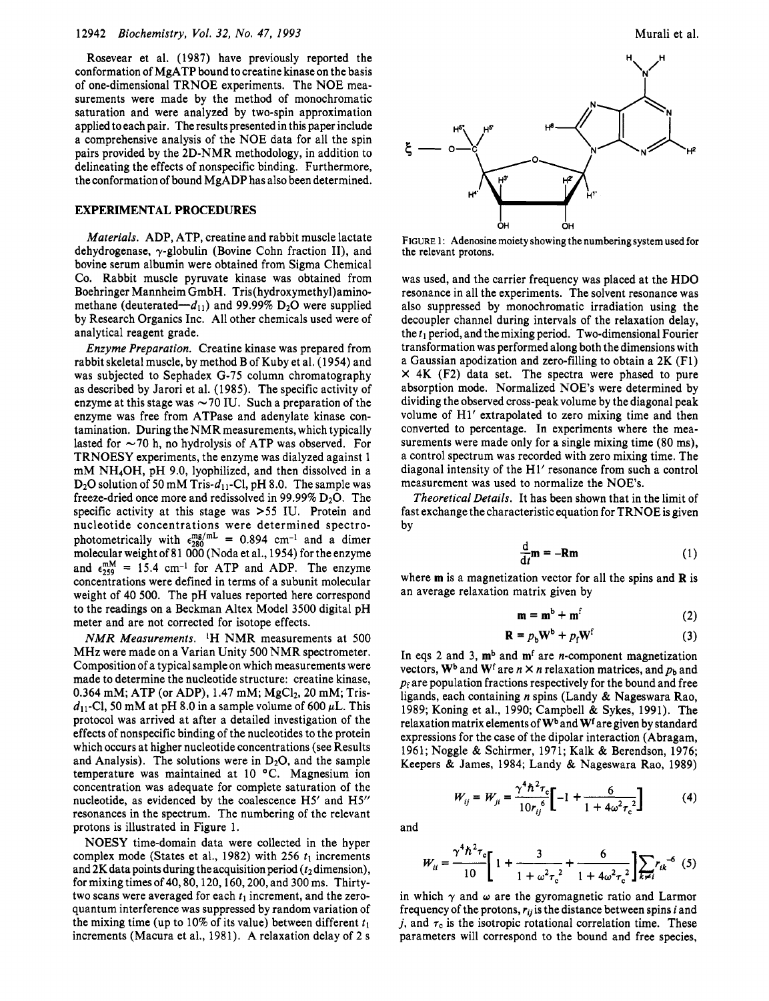Rosevear et al. (1987) have previously reported the conformation of MgATP bound to creatine kinase on the basis of one-dimensional TRNOE experiments. The NOE measurements were made by the method of monochromatic saturation and were analyzed by two-spin approximation applied to each pair. The results presented in this paper include a comprehensive analysis of the NOE data for all the spin pairs provided by the 2D-NMR methodology, in addition to delineating the effects of nonspecific binding. Furthermore, the conformation of bound MgADP has also been determined.

## **EXPERIMENTAL PROCEDURES**

*Materials.* ADP, ATP, creatine and rabbit muscle lactate dehydrogenase,  $\gamma$ -globulin (Bovine Cohn fraction II), and bovine serum albumin were obtained from Sigma Chemical Co. Rabbit muscle pyruvate kinase was obtained from Boehringer Mannheim GmbH. **Tris(hydroxymethy1)amino**methane (deuterated- $-d_{11}$ ) and 99.99% D<sub>2</sub>O were supplied by Research Organics Inc. All other chemicals used were of analytical reagent grade.

*Enzyme Preparation.* Creatine kinase was prepared from rabbit skeletal muscle, by method B of Kuby et al. (1954) and was subjected to Sephadex G-75 column chromatography as described by Jarori et al. (1985). The specific activity of enzyme at this stage was  $\sim$  70 IU. Such a preparation of the enzyme was free from ATPase and adenylate kinase contamination. During the NMR measurements, which typically lasted for  $\sim$  70 h, no hydrolysis of ATP was observed. For TRNOESY experiments, the enzyme was dialyzed against 1 mM NH40H, pH 9.0, lyophilized, and then dissolved in a  $D_2O$  solution of 50 mM Tris- $d_{11}$ -Cl, pH 8.0. The sample was freeze-dried once more and redissolved in 99.99%  $D_2O$ . The specific activity at this stage was *>55* IU. Protein and nucleotide concentrations were determined spectrophotometrically with  $\epsilon_{280}^{mg/mL} = 0.894$  cm<sup>-1</sup> and a dimer molecular weight of 81 000 (Noda et al., 1954) for the enzyme and  $\epsilon_{259}^{mM}$  = 15.4 cm<sup>-1</sup> for ATP and ADP. The enzyme concentrations were defined in terms of a subunit molecular weight of 40 500. The pH values reported here correspond to the readings on a Beckman Altex Model 3500 digital pH meter and are not corrected for isotope effects.

*NMR Measurements.* IH NMR measurements at 500 MHz were made on a Varian Unity 500 NMR spectrometer. Composition of a typical sample on which measurements were made to determine the nucleotide structure: creatine kinase, 0.364 mM; ATP (or ADP), 1.47 mM;  $MgCl<sub>2</sub>$ , 20 mM; Tris $d_{11}$ -Cl, 50 mM at pH 8.0 in a sample volume of 600  $\mu$ L. This protocol was arrived at after a detailed investigation of the effects of nonspecific binding of the nucleotides to the protein which occurs at higher nucleotide concentrations (see Results and Analysis). The solutions were in  $D_2O$ , and the sample temperature was maintained at 10 °C. Magnesium ion concentration was adequate for complete saturation of the nucleotide, as evidenced by the coalescence H5' and **HS'**  resonances in the spectrum. The numbering of the relevant protons is illustrated in Figure 1.

NOESY time-domain data were collected in the hyper complex mode (States et al., 1982) with 256  $t_1$  increments and 2K data points during the acquisition period ( $t_2$  dimension), for mixing times of 40,80,120,160,200, and 300 ms. Thirtytwo scans were averaged for each  $t_1$  increment, and the zeroquantum interference was suppressed by random variation of the mixing time (up to 10% of its value) between different  $t_1$ increments (Macura et al., 1981). **A** relaxation delay of 2 s



**FIGURE** 1: Adenosine moiety showing the numbering system used for the relevant protons.

was used, and the carrier frequency was placed at the HDO resonance in all the experiments. The solvent resonance was also suppressed by monochromatic irradiation using the decoupler channel during intervals of the relaxation delay, the  $t_1$  period, and the mixing period. Two-dimensional Fourier transformation was performed along both the dimensions with a Gaussian apodization and zero-filling to obtain a 2K (Fl) **X** 4K (F2) data set. The spectra were phased to pure absorption mode. Normalized NOE's were determined by dividing the observed cross-peak volume by the diagonal peak volume of H1' extrapolated to zero mixing time and then converted to percentage. In experiments where the measurements were made only for a single mixing time (80 ms), a control spectrum was recorded with zero mixing time. The diagonal intensity of the H1' resonance from such a control measurement was used to normalize the NOE's.

*Theoretical Details.* It has been shown that in the limit of fast exchange the characteristic equation for TRNOE is given by

$$
\frac{\mathrm{d}}{\mathrm{d}t}\mathbf{m} = -\mathbf{R}\mathbf{m} \tag{1}
$$

where **m** is a magnetization vector for all the spins and **R** is an average relaxation matrix given by

$$
\mathbf{m} = \mathbf{m}^b + \mathbf{m}^f \tag{2}
$$

$$
\mathbf{R} = p_b \mathbf{W}^b + p_f \mathbf{W}^f \tag{3}
$$

In eqs 2 and 3, **mb** and **mf** are n-component magnetization vectors,  $W^b$  and  $W^f$  are  $n \times n$  relaxation matrices, and  $p_b$  and *pf* are population fractions respectively for the bound and free ligands, each containing *n* spins (Landy & Nageswara Rao, 1989; Koning et al., 1990; Campbell & Sykes, 1991). The relaxation matrix elements of **Wb** and **Wf** are given by standard expressions for the case of the dipolar interaction (Abragam, 1961; Noggle & Schirmer, 1971; Kalk & Berendson, 1976; Keepers & James, 1984; Landy & Nageswara Rao, 1989) ing et al., 1990; Campbell & Syl<br>matrix elements of W<sup>b</sup> and W<sup>f</sup> are g<br>for the case of the dipolar interaction<br>gle & Schirmer, 1971; Kalk & B<br>James, 1984; Landy & Nagesw<br> $W_{ij} = W_{ji} = \frac{\gamma^4 h^2 \tau_c}{10 r_{ij}^6}[-1 + \frac{6}{1 + 4\omega}$ 

$$
W_{ij} = W_{ji} = \frac{\gamma^4 h^2 \tau_c}{10 r_{ij}^6} \left[ -1 + \frac{6}{1 + 4\omega^2 \tau_c^2} \right]
$$
 (4)

and

$$
W_{ij} = W_{ji} = \frac{\gamma^4 h^2 \tau_c}{10 r_{ij}^6} \left[ -1 + \frac{6}{1 + 4\omega^2 \tau_c^2} \right] \tag{4}
$$
  

$$
W_{ii} = \frac{\gamma^4 h^2 \tau_c}{10} \left[ 1 + \frac{3}{1 + \omega^2 \tau_c^2} + \frac{6}{1 + 4\omega^2 \tau_c^2} \right] \sum_{k \neq i} r_{ik}^{-6} \tag{5}
$$

in which  $\gamma$  and  $\omega$  are the gyromagnetic ratio and Larmor frequency of the protons, *'(1* is the distance between spins *i* and *j*, and  $\tau_c$  is the isotropic rotational correlation time. These parameters will correspond to the bound and free species,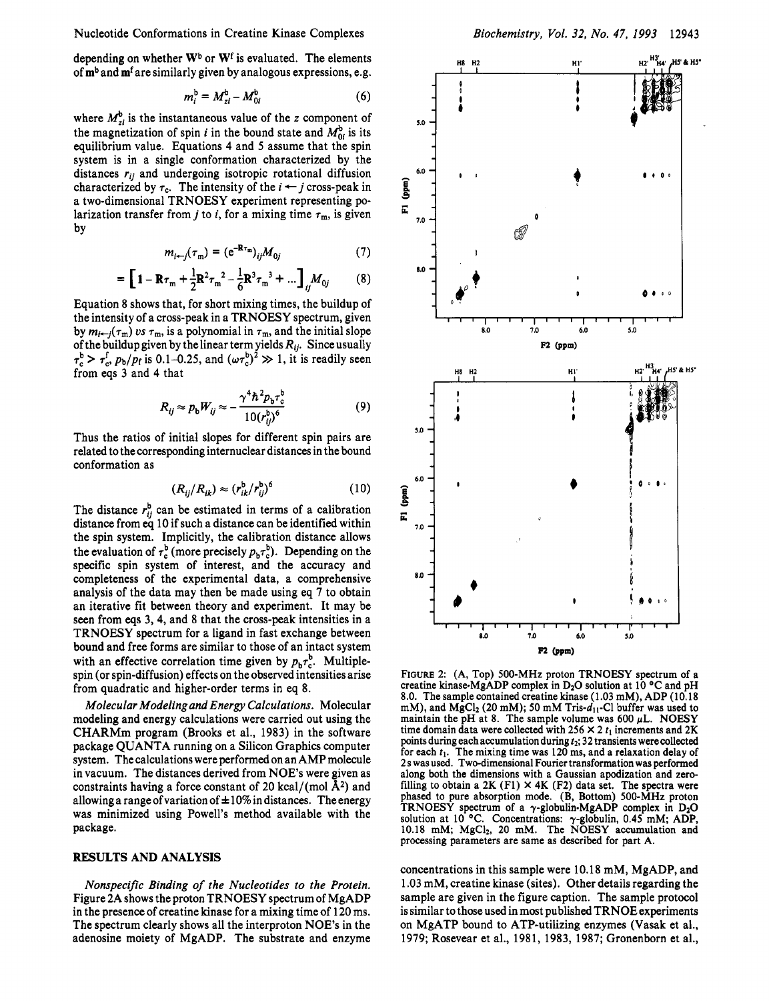Nucleotide Conformations in Creatine Kinase Complexes

depending on whether  $W^b$  or  $W^f$  is evaluated. The elements of  $m<sup>b</sup>$  and  $m<sup>f</sup>$  are similarly given by analogous expressions, e.g.

$$
m_i^{\mathrm{b}} = M_{zi}^{\mathrm{b}} - M_{0i}^{\mathrm{b}} \tag{6}
$$

where  $M_{zi}^{b}$  is the instantaneous value of the *z* component of the magnetization of spin *i* in the bound state and  $M_{0i}^b$  is its equilibrium value. Equations **4** and *5* assume that the spin system is in a single conformation characterized by the distances *rij* and undergoing isotropic rotational diffusion system is in a single conformation characterized by the distances  $r_{ij}$  and undergoing isotropic rotational diffusion characterized by  $\tau_c$ . The intensity of the  $i \leftarrow j$  cross-peak in a time dimensional TRNOESV approxim a two-dimensional TRNOESY experiment representing polarization transfer from *j* to *i*, for a mixing time  $\tau_m$ , is given by

$$
m_{i \leftarrow j}(\tau_{\mathfrak{m}}) = (\mathbf{e}^{-\mathbf{R}\tau_{\mathfrak{m}}})_{ij} M_{0j} \tag{7}
$$

$$
= \left[1 - \mathbf{R}\tau_{\rm m} + \frac{1}{2}\mathbf{R}^2\tau_{\rm m}^2 - \frac{1}{6}\mathbf{R}^3\tau_{\rm m}^3 + \dots\right]_{ij}M_{0j} \tag{8}
$$

Equation 8 shows that, for short mixing times, the buildup of the intensity of a cross-peak in a TRNOESY spectrum, given by  $m_{i\rightarrow j}(\tau_m)$  *ps*  $\tau_m$ , is a polynomial in  $\tau_m$ , and the initial slope of the buildup given by the linear term yields  $R_{ij}$ . Since usually  $\tau_c^b > \tau_c^f$ ,  $p_b/p_f$  is 0.1–0.25, and  $(\omega \tau_c^b)^2 \gg 1$ , it is readily seen from eqs 3 and **4** that

$$
R_{ij} \approx p_{\rm b} W_{ij} \approx -\frac{\gamma^4 h^2 p_{\rm b} \tau_{\rm c}^{\rm b}}{10(r_{ij}^{\rm b})^6}
$$
(9)

Thus the ratios of initial slopes for different spin pairs are related to the corresponding internuclear distances in the bound conformation as

$$
(R_{ij}/R_{ik}) \approx (r_{ik}^b/r_{ij}^b)^6 \tag{10}
$$

The distance  $r_{ij}^b$  can be estimated in terms of a calibration distance from eq 10 if such **a** distance can be identified within the spin system. Implicitly, the calibration distance allows the evaluation of  $\tau_c^b$  (more precisely  $p_b\tau_c^b$ ). Depending on the specific spin system of interest, and the accuracy and completeness of the experimental data, a comprehensive analysis of the data may then be made using eq 7 to obtain an iterative fit between theory and experiment. It may be seen from **eqs** 3,4, and **8** that the cross-peak intensities in a TRNOESY spectrum for a ligand in fast exchange between bound and free forms are similar to those of an intact system with an effective correlation time given by  $p_b\tau_c^b$ . Multiplespin (or spin-diffusion) effects on the observed intensities arise from quadratic and higher-order terms in eq 8.

*Molecular Modeling and Energy Calculations.* Molecular modeling and energy calculations were carried out using the CHARMm program (Brooks et al., 1983) in the software package QUANTA running on a Silicon Graphics computer system. The calculations were performed on an AMP molecule in vacuum. The distances derived from NOE's were given as constraints having a force constant of 20 kcal/(mol  $\AA^2$ ) and allowing a range of variation of  $\pm 10\%$  in distances. The energy was minimized using Powell's method available with the package.

## **RESULTS AND ANALYSIS**

*Nonspecific Binding of the Nucleotides to the Protein.*  Figure 2A shows the proton TRNOESY spectrumof MgADP in the presence of creatine kinase for a mixing time of 120 ms. The spectrum clearly shows all the interproton **NOE**'s in the adenosine moiety of MgADP. The substrate and enzyme



FIGURE 2: (A, Top) 500-MHz proton TRNOESY spectrum of a creatine kinase-MgADP complex in D<sub>2</sub>O solution at 10 °C and pH 8.0. The sample contained creatine kinase (1.03 mM), ADP (10.18 mM), and MgCl<sub>2</sub> (20 mM); 50 mM Tris-d<sub>11</sub>-Cl buffer was used to maintain the pH at 8. The sample volume was  $600 \mu L$ . NOESY time domain data were collected with  $256 \times 2$   $t_1$  increments and  $2K$ points during each accumulation during *t2;* **32** transients were collected for each  $t_1$ . The mixing time was 120 ms, and a relaxation delay of <sup>2</sup>**s** was used. Two-dimensional Fourier transformation was performed along both the dimensions with a Gaussian apodization and zerofilling to obtain a  $2K$  (F1)  $\times$  4K (F2) data set. The spectra were phased to pure absorption mode. (B, Bottom) 500-MHz proton TRNOESY spectrum of a  $\gamma$ -globulin-MgADP complex in D<sub>2</sub>O solution at 10<sup>°</sup>C. Concentrations:  $\gamma$ -globulin, 0.45<sup>°</sup> mM; ADP, 10.18 mM; MgCl<sub>2</sub>, 20 mM. The **NOESY** accumulation and processing parameters are same as described for part A.

concentrations in this sample were 10.18 mM, MgADP, and 1.03 mM, creatine kinase (sites). Other details regarding the sample are given in the figure caption. The sample protocol is similar to those used in most published TRNOE experiments on MgATP bound to ATP-utilizing enzymes (Vasak et al., 1979; Rosevear et al., 1981, 1983, 1987; Gronenborn et al.,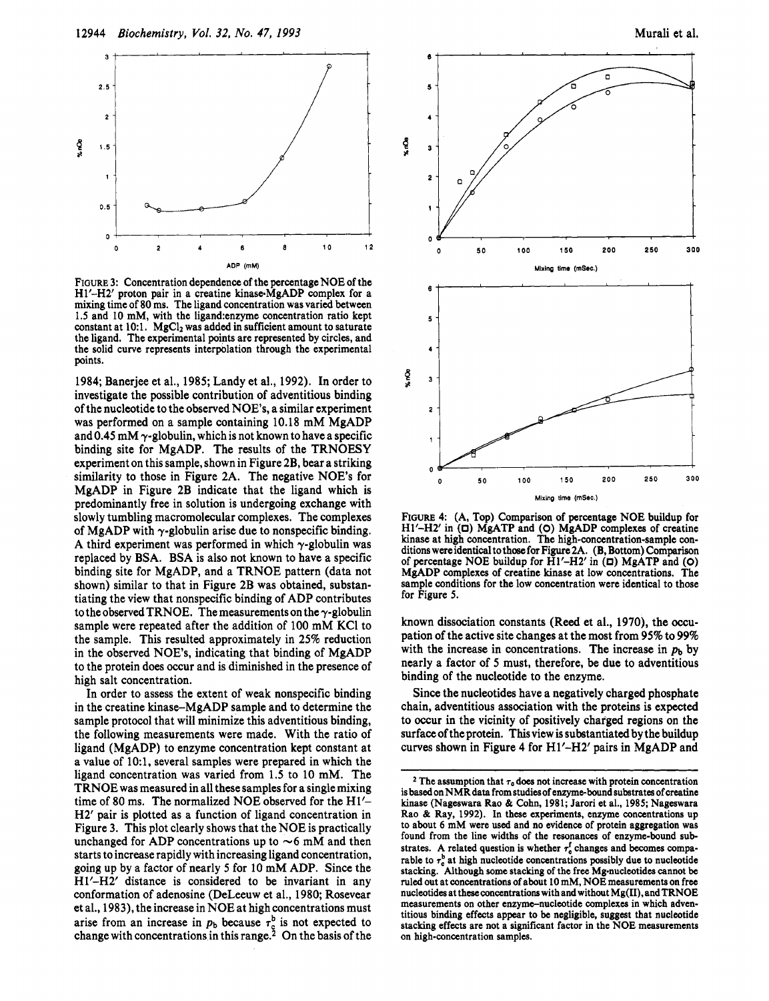



**FIGURE** 3: Concentration dependence of the percentage NOE of the **HI'-H2'** proton pair in a creatine kinase-MgADP complex for a mixing time of 80 ms. The ligand concentration was varied between **1.5** and 10 mM, with the 1igand:enzyme concentration ratio kept constant at 10:1. MgCl<sub>2</sub> was added in sufficient amount to saturate the ligand. The experimental points are represented by circles, and the solid curve represents interpblation through the experimental points.

1984; Banerjee et al., 1985; Landy et al., 1992). In order to investigate the possible contribution of adventitious binding of the nucleotide to the observed NOE's, a similar experiment was performed on a sample containing 10.18 mM MgADP and 0.45 mM  $\gamma$ -globulin, which is not known to have a specific binding site for MgADP. The results of the TRNOESY experiment on this sample, shown in Figure 2B, bear a striking similarity to those in Figure 2A. The negative NOE's for MgADP in Figure 2B indicate that the ligand which is predominantly free in solution is undergoing exchange with slowly tumbling macromolecular complexes. The complexes of MgADP with  $\gamma$ -globulin arise due to nonspecific binding. A third experiment was performed in which  $\gamma$ -globulin was replaced by BSA. BSA is also not known to have a specific binding site for MgADP, and a TRNOE pattern (data not shown) similar to that in Figure 2B was obtained, substantiating the view that nonspecific binding of ADP contributes to the observed TRNOE. The measurements on the  $\gamma$ -globulin sample were repeated after the addition of 100 mM KC1 to the sample. This resulted approximately in 25% reduction in the observed NOE's, indicating that binding of MgADP to the protein does occur and is diminished in the presence of high salt concentration.

In order to assess the extent of weak nonspecific binding in the creatine kinase-MgADP sample and to determine the sample protocol that will minimize this adventitious binding, the following measurements were made. With the ratio of ligand (MgADP) to enzyme concentration kept constant at a value of lO:l, several samples were prepared in which the ligand concentration was varied from 1.5 to 10 mM. The TRNOE was measured in all these samples for a single mixing time of 80 ms. The normalized NOE observed for the H1'- H2' pair is plotted as a function of ligand concentration in Figure 3. This plot clearly shows that the NOE is practically unchanged for ADP concentrations up to  $\sim$  6 mM and then starts to increase rapidly with increasing ligand concentration, going up by a factor of nearly *5* for 10 mM ADP. Since the HI'-H2' distance is considered to be invariant in any conformation of adenosine (DeLeeuw et al., 1980; Rosevear et al., 1983), the increase in NOE at high concentrations must arise from an increase in  $p<sub>b</sub>$  because  $\tau_c^b$  is not expected to change with concentrations in this range.<sup>2</sup> On the basis of the



**FIGURE 4:** (A, Top) Comparison of percentage NOE buildup for HI'-H2' in (D) MgATP and (O) MgADP complexes of creatine kinase at high concentration. The high-concentration-sample conditions wereidentical tothcwfor Figure2A. (B, Bottom) Comparison of percentage NOE buildup for **HI'-H2'** in **(E])** MgATP and (0) MgADP complexes of creatine kinase at low concentrations. The sample conditions for the low concentration were identical to those for Figure *5.* 

known dissociation constants (Reed et **al.,** 1970), the occupation of the active site changes at the most from 95% to 99% with the increase in concentrations. The increase in  $p_b$  by nearly a factor of *5* must, therefore, be due to adventitious binding of the nucleotide to the enzyme.

Since the nucleotides have a negatively charged phosphate chain, adventitious association with the proteins is expected to occur in the vicinity of positively charged regions on the surface of the protein. Thisview is substantiated by the buildup curves shown in Figure 4 for **Hl'-H2'** pairs in MgADP and

 $2$  The assumption that  $\tau_c$  does not increase with protein concentration is based on NMR **data** from studies of enzymebound substrates of creatine kinase (Nageswara Rao & Cohn, 1981; Jarori et al., 1985; Nageswara Rao & Ray, 1992). In these experiments, enzyme concentrations up to about 6 mM were used and no evidence of protein aggregation was found from the line widths of the resonances of enzyme-bound substrates. A related question is whether  $\tau_c^f$  changes and becomes comparable to  $\tau_c^b$  at high nucleotide concentrations possibly due to nucleotide stacking. Although some stacking of the free Mg-nucleotides cannot be ruled out at concentrations of about **10** mM, NOE measurements **on** free nucleotidesat **theseconcentrationswithandwithout** Mg(II),andTRNOE measurements on other enzyme-nucleotide complexes in which adventitious binding effects appear to be negligible, suggest that nucleotide stacking effects are not a significant factor in the NOE measurements on high-concentration samples.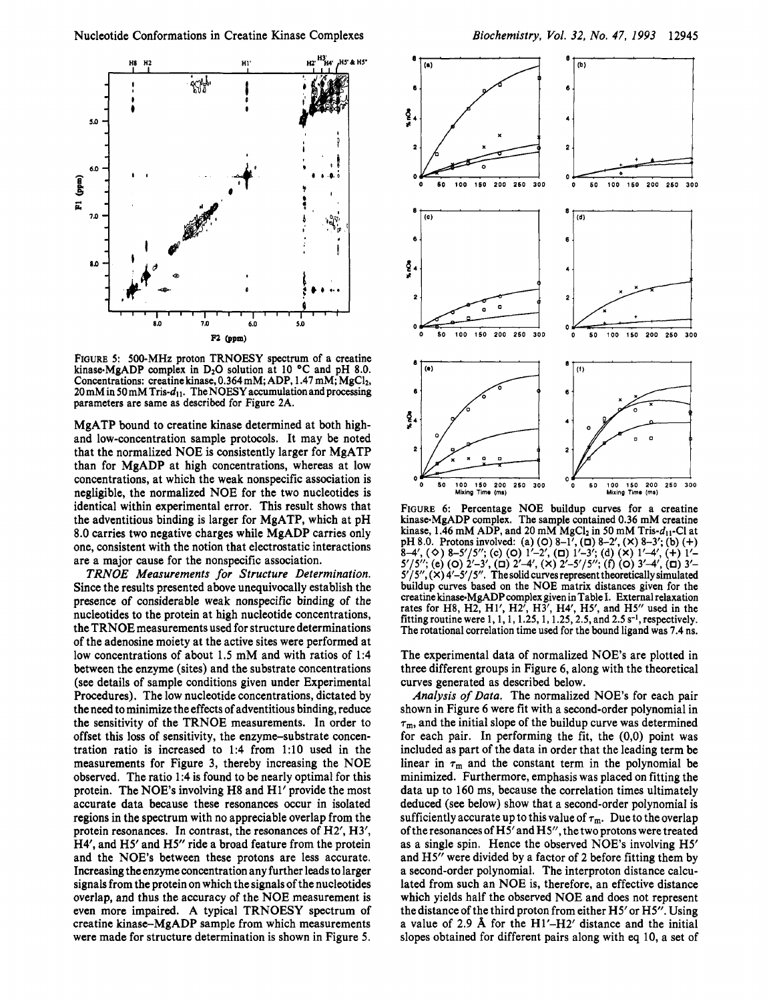

**FIGURE 5: 500-MHz proton TRNOESY spectrum of a creatine**  kinase-MgADP complex in D<sub>2</sub>O solution at 10 °C and pH 8.0. **Concentrations: creatine kinase, 0.364 mM; ADP, 1.47** mM; **MgC12,**  20 mM in 50 mM Tris- $d_{11}$ . The NOESY accumulation and processing **parameters are same as described for Figure 2A.** 

MgATP bound to creatine kinase determined at both highand low-concentration sample protocols. It may be noted that the normalized NOE is consistently larger for MgATP than for MgADP at high concentrations, whereas at low concentrations, at which the weak nonspecific association is negligible, the normalized NOE for the two nucleotides is identical within experimental error. This result shows that the adventitious binding is larger for MgATP, which at pH **8.0** carries two negative charges while MgADP carries only one, consistent with the notion that electrostatic interactions are a major cause for the nonspecific association.

*TRNOE Measurements for Structure Determination.*  Since the results presented above unequivocally establish the presence of considerable weak nonspecific binding of the nucleotides to the protein at high nucleotide concentrations, the TRNOE measurements used for structure determinations of the adenosine moiety at the active sites were performed at low concentrations of about **1.5** mM and with ratios of **1:4**  between the enzyme (sites) and the substrate concentrations (see details of sample conditions given under Experimental Procedures). The low nucleotide concentrations, dictated by the need to minimize the effects of adventitious binding, reduce the sensitivity of the TRNOE measurements. In order to offset this loss of sensitivity, the enzyme-substrate concentration ratio is increased to **1:4** from **1:lO** used in the measurements for Figure 3, thereby increasing the NOE observed. The ratio **1:4** is found to be nearly optimal for this protein. The NOE's involving H8 and H1' provide the most accurate data because these resonances occur in isolated regions in the spectrum with no appreciable overlap from the protein resonances. In contrast, the resonances of **H2', H3',**  H4', and H5' and H5'' ride a broad feature from the protein and the NOE's between these protons are less accurate. Increasing the enzyme concentration any further leads to larger signals from the protein on which the signals of the nucleotides overlap, and thus the accuracy of the NOE measurement is even more impaired. **A** typical TRNOESY spectrum of creatine kinase-MgADP sample from which measurements were made for structure determination is shown in Figure *5.* 



**FIGURE 6: Percentage NOE buildup curves for a creatine kinase-MgADP complex. The sample contained 0.36 mM creatine**  kinase, 1.46 mM ADP, and 20 mM MgCl<sub>2</sub> in 50 mM Tris- $d_{11}$ -Cl at **pH 8.0. Protons involved: (a)** *(0)* **8-1',** *(0)* **8-2', (X) 8-3'; (b)** (+)  $5'/5''$ ; (e) (O)  $2'-3'$ , (D)  $2'-4'$ , (x)  $2'-5'/5''$ ; (f) (O)  $3'-4'$ , (D)  $3'-5'/5''$ , (x)  $4'-5'/5''$ . The solid curves represent theoretically simulated **buildup curves based on the NOE matrix distances given for the**  creatine kinase-MgADP complex given in Table I. External relaxation<br>rates for H8, H2, H1', H2', H3', H4', H5', and H5'' used in the<br>fitting routine were 1, 1, 1, 1.25, 1, 1.25, 2.5, and 2.5 s<sup>-1</sup>, respectively. **The rotational correlation time used for the bound ligand was 7.4 ns. 8-4',**  $(\diamond)$  **8-5'/5'';**  $(\diamond)$  (0)  $1'$ -2',  $(\square)$   $1'$ -3';  $(\triangle)$   $(\triangle)$   $1'$ -4',  $(+)$   $1'$ 

The experimental data of normalized NOE's are plotted in three different groups in Figure **6,** along with the theoretical curves generated as described below.

*Analysis of Data.* The normalized NOE's for each pair shown in Figure **6** were fit with a second-order polynomial in  $\tau_m$ , and the initial slope of the buildup curve was determined for each pair. In performing the fit, the **(0,O)** point was included as part of the data in order that the leading term be linear in  $\tau_m$  and the constant term in the polynomial be minimized. Furthermore, emphasis was placed on fitting the data up to **160** ms, because the correlation times ultimately deduced (see below) show that a second-order polynomial is sufficiently accurate up to this value of  $\tau_m$ . Due to the overlap of the resonances of **H5'** and HS', the two protons were treated as a single spin. Hence the Observed NOE's involving **H5'**  and **H5"** were divided by a factor of **2** before fitting them by a second-order polynomial. The interproton distance calculated from such an NOE is, therefore, an effective distance which yields half the observed NOE and does not represent the distance of the third proton from either **H5'or** H5". Using a value of **2.9 A** for the Hl'-H2' distance and the initial slopes obtained for different pairs along with *eq* **10,** a set of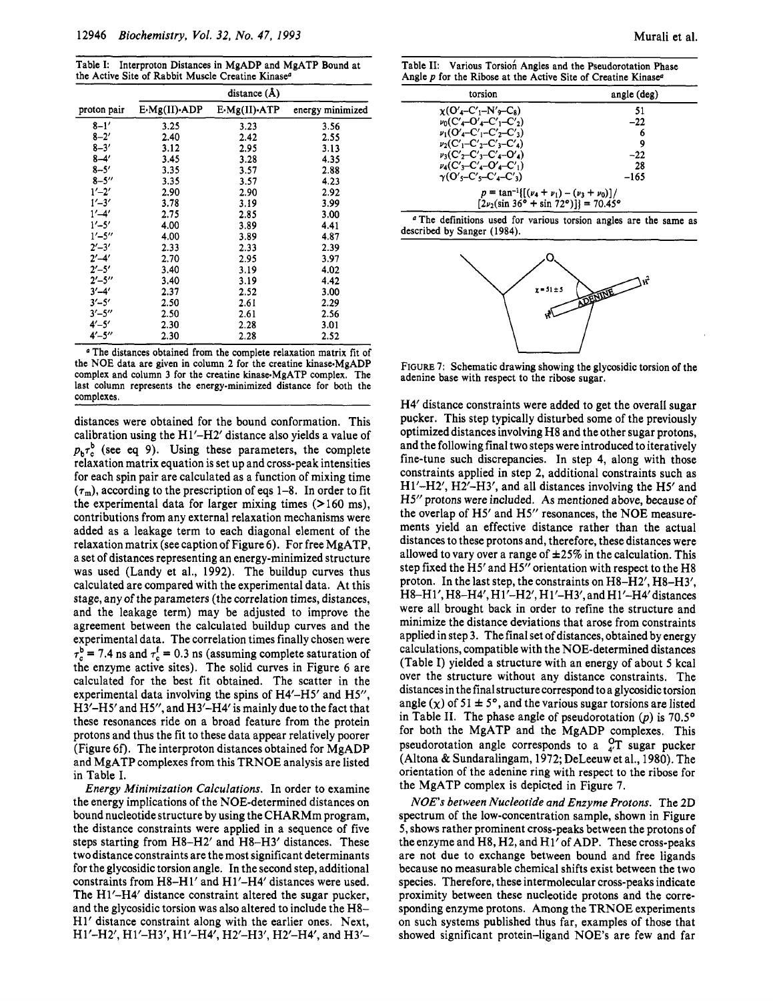**Table I: Interproton Distances in MgADP and MgATP Bound at the Active Site of Rabbit Muscle Creatine Kinase"** 

|                         | distance $(\AA)$ |                            |                  |
|-------------------------|------------------|----------------------------|------------------|
| proton pair             | E-Mg(II)-ADP     | $E \cdot Mg(II) \cdot ATP$ | energy minimized |
| $8 - 1'$                | 3.25             | 3.23                       | 3.56             |
| $8 - 2'$                | 2.40             | 2.42                       | 2.55             |
| $8 - 3'$                | 3.12             | 2.95                       | 3.13             |
| $8 - 4'$                | 3.45             | 3.28                       | 4.35             |
| $8 - 5'$                | 3.35             | 3.57                       | 2.88             |
| $8 - 5''$               | 3.35             | 3.57                       | 4.23             |
| $1' - 2'$               | 2.90             | 2.90                       | 2.92             |
| $1' - 3'$               | 3.78             | 3.19                       | 3.99             |
| $1' - 4'$               | 2.75             | 2.85                       | 3.00             |
| $1' - 5'$               | 4.00             | 3.89                       | 4.41             |
| $1' - 5''$              | 4.00             | 3.89                       | 4.87             |
| $2^{\prime}-3^{\prime}$ | 2.33             | 2.33                       | 2.39             |
| $2' - 4'$               | 2.70             | 2.95                       | 3.97             |
| $2' - 5'$               | 3.40             | 3.19                       | 4.02             |
| $2' - 5''$              | 3.40             | 3.19                       | 4.42             |
| $3' - 4'$               | 2.37             | 2.52                       | 3.00             |
| $3' - 5'$               | 2.50             | 2.61                       | 2.29             |
| $3' - 5''$              | 2.50             | 2.61                       | 2.56             |
| $4' - 5'$               | 2.30             | 2.28                       | 3.01             |
| $4' - 5''$              | 2.30             | 2.28                       | 2.52             |

**<sup>a</sup>The distances obtained from the complete relaxation matrix fit of**  the NOE data are given in column 2 for the creatine kinase MgADP complex and column 3 for the creatine kinase-MgATP complex. The **last column represents the energy-minimized distance for both the complexes.** 

distances were obtained for the bound conformation. This calibration using the Hl'-H2' distance also yields a value of  $p_b \tau_c^b$  (see eq 9). Using these parameters, the complete relaxation matrix equation is set up and cross-peak intensities for each spin pair are calculated as a function of mixing time  $(\tau_m)$ , according to the prescription of eqs 1–8. In order to fit the experimental data for larger mixing times  $(>160 \text{ ms})$ , contributions from any external relaxation mechanisms were added as a leakage term to each diagonal element of the relaxation matrix (see caption of Figure 6). For free MgATP, a set of distances representing an energy-minimized structure was used (Landy et al., 1992). The buildup curves thus calculated are compared with the experimental data. At this stage, any of the parameters (the correlation times, distances, and the leakage term) may be adjusted to improve the agreement between the calculated buildup curves and the experimental data. The correlation times finally chosen were  $\tau_c^b$  = 7.4 ns and  $\tau_c^f$  = 0.3 ns (assuming complete saturation of the enzyme active sites). The solid curves in Figure 6 are calculated for the best fit obtained. The scatter in the experimental data involving the spins of H4'-H5' and H5", H3'-H5'and H5", and H3'-H4' is mainly due to the fact that these resonances ride on a broad feature from the protein protons and thus the fit to these data appear relatively poorer (Figure *6f).* The interproton distances obtained for MgADP and MgATP complexes from this TRNOE analysis are listed in Table I.

*Energy Minimization Calculations.* In order to examine the energy implications of the NOE-determined distances on bound nucleotide structure by using the CHARMm program, the distance constraints were applied in a sequence of five steps starting from H8-H2' and H8-H3' distances. These two distance constraints are the most significant determinants for the glycosidic torsion angle. In the second step, additional constraints from H8-Hl' and Hl'-H4' distances were used. The Hl'-H4' distance constraint altered the sugar pucker, and the glycosidic torsion was also altered to include the H8- H1' distance constraint along with the earlier ones. Next, H<sub>1</sub>'-H<sub>2</sub>', H<sub>1</sub>'-H<sub>3</sub>', H<sub>1</sub>'-H<sub>4</sub>', H<sub>2</sub>'-H<sub>3</sub>', H<sub>2</sub>'-H<sub>4</sub>', and H<sub>3</sub>'-

**Table 11: Various Torsiofi Angles and the Pseudorotation Phase Angle** *p* **for the Ribose at the Active Site of Creatine Kinase"** 

| torsion                                                                             | angle (deg) |  |  |
|-------------------------------------------------------------------------------------|-------------|--|--|
| $\chi$ (O' <sub>4</sub> -C' <sub>1</sub> -N' <sub>9</sub> -C <sub>8</sub> )         | 51          |  |  |
| $\nu_0(C_4 - O_4 - C_1 - C_2)$                                                      | $-22$       |  |  |
| $\nu_1(O_4-C_1-C_2-C_3)$                                                            | 6           |  |  |
| $\nu_2(C'_1 - C'_2 - C'_3 - C'_4)$                                                  | 9           |  |  |
| $v_3(C' - C' - C' - C' - C')$                                                       | -22         |  |  |
| $\nu_4(C'_3-C'_4-O'_4-C'_1)$                                                        | 28          |  |  |
| $\gamma$ (O's-C's-C' <sub>4</sub> -C' <sub>3</sub> )                                | $-165$      |  |  |
| $p = \tan^{-1}\left[\left(\nu_4 + \nu_1\right) - \left(\nu_3 + \nu_0\right)\right]$ |             |  |  |
| $[2\nu_2(\sin 36^\circ + \sin 72^\circ)] = 70.45^\circ$                             |             |  |  |

**"The definitions used for various torsion angles are the same as described by Sanger (1984).** 



**FIGURE 7: Schematic drawing showing the glycosidic torsion of the adenine base with respect to the ribose sugar.** 

H4' distance constraints were added to get the overall sugar pucker. This step typically disturbed some of the previously optimized distances involving H8 and the other sugar protons, and the following final two steps were introduced to iteratively fine-tune such discrepancies. In step 4, along with those constraints applied in step 2, additional constraints such as Hl'-H2', H2'-H3', and all distances involving the H5' and **H5''** protons were included. **As** mentioned above, because of the overlap of H5' and H5" resonances, the NOE measurements yield an effective distance rather than the actual distances to these protons and, therefore, these distances were allowed to vary over a range of  $\pm 25\%$  in the calculation. This step fixed the H5' and H5" orientation with respect to the H8 proton. In the last step, the constraints on H8-H2', H8-H3', H8-H1', H8-H4', H1'-H2', H1'-H3', and H1'-H4' distances were all brought back in order to refine the structure and minimize the distance deviations that arose from constraints applied in step 3. The final set of distances, obtained by energy calculations, compatible with the NOE-determined distances (Table 1) yielded a structure with an energy of about *5* kcal over the structure without any distance constraints. The distances in the final structure correspond to a glycosidic torsion angle  $(\chi)$  of 51  $\pm$  5°, and the various sugar torsions are listed in Table II. The phase angle of pseudorotation  $(p)$  is 70.5 $\degree$ for both the MgATP and the MgADP complexes. This pseudorotation angle corresponds to a  $_{4}^{0}$ T sugar pucker (Altona & Sundaralingam, 1972; DeLeeuw et al., 1980). The orientation of the adenine ring with respect to the ribose for the MgATP complex is depicted in Figure 7.

*NOES between Nucleotide and Enzyme Protons.* The **2D**  spectrum of the low-concentration sample, shown in Figure *5,* shows rather prominent cross-peaks between the protons of the enzyme and H8, H2, and H1' of ADP. These cross-peaks are not due to exchange between bound and free ligands because no measurable chemical shifts exist between the two species. Therefore, these intermolecular cross-peaks indicate proximity between these nucleotide protons and the corresponding enzyme protons. Among the TRNOE experiments on such systems published thus far, examples of those that showed significant protein-ligand NOE's are few and far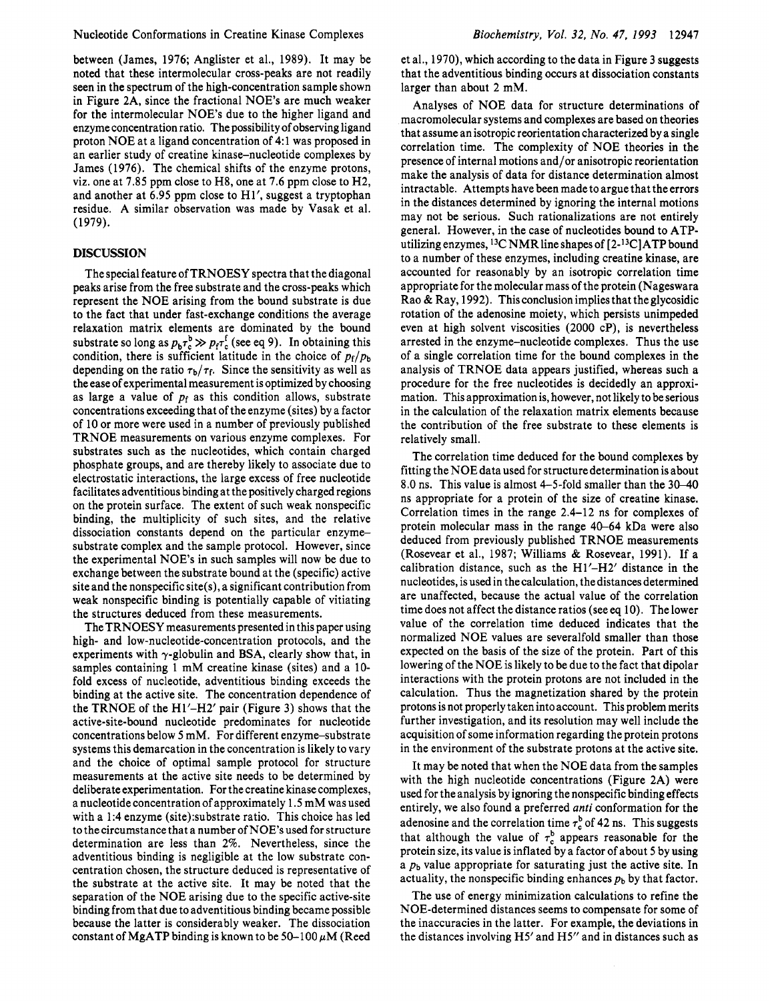between (James, 1976; Anglister et al., 1989). It may be noted that these intermolecular cross-peaks are not readily seen in the spectrum of the high-concentration sample shown in Figure 2A, since the fractional NOE's are much weaker for the intermolecular NOE's due to the higher ligand and enzyme concentration ratio. The possibility of observing ligand proton NOE at a ligand concentration of 4: 1 was proposed in an earlier study of creatine kinase-nucleotide complexes by James (1976). The chemical shifts of the enzyme protons, viz. one at 7.85 ppm close to H8, one at 7.6 ppm close to H2, and another at 6.95 ppm close to Hl', suggest a tryptophan residue. A similar observation was made by Vasak et al. (1979).

## **DISCUSSION**

The special feature of TRNOESY spectra that the diagonal peaks arise from the free substrate and the cross-peaks which represent the NOE arising from the bound substrate is due to the fact that under fast-exchange conditions the average relaxation matrix elements are dominated by the bound substrate so long as  $p_b \tau_c^b \gg p_f \tau_c^t$  (see eq 9). In obtaining this condition, there is sufficient latitude in the choice of  $p_f/p_b$ depending on the ratio  $\tau_b/\tau_f$ . Since the sensitivity as well as the ease of experimental measurement is optimized by choosing as large a value of  $p_f$  as this condition allows, substrate concentrations exceeding that of the enzyme (sites) by a factor of 10 or more were used in a number of previously published TRNOE measurements on various enzyme complexes. For substrates such as the nucleotides, which contain charged phosphate groups, and are thereby likely to associate due to electrostatic interactions, the large excess of free nucleotide facilitates adventitious binding at the positively charged regions on the protein surface. The extent of such weak nonspecific binding, the multiplicity of such sites, and the relative dissociation constants depend on the particular enzymesubstrate complex and the sample protocol. However, since the experimental NOE's in such samples will now be due to exchange between the substrate bound at the (specific) active site and the nonspecific site(s), a significant contribution from weak nonspecific binding is potentially capable of vitiating the structures deduced from these measurements.

The TRNOESY measurements presented in this paper using high- and low-nucleotide-concentration protocols, and the experiments with  $\gamma$ -globulin and BSA, clearly show that, in samples containing 1 mM creatine kinase (sites) and a 10 fold excess of nucleotide, adventitious binding exceeds the binding at the active site. The concentration dependence of the TRNOE of the  $H1'$ - $H2'$  pair (Figure 3) shows that the active-site-bound nucleotide predominates for nucleotide concentrations below **5** mM. For different enzyme-substrate systems this demarcation in the concentration is likely to vary and the choice of optimal sample protocol for structure measurements at the active site needs to be determined by deliberate experimentation. For the creatine kinase complexes, a nucleotide concentration of approximately 1.5 mM was used with a 1:4 enzyme (site):substrate ratio. This choice has led to the circumstance that a number of NOE's used for structure determination are less than 2%. Nevertheless, since the adventitious binding is negligible at the low substrate concentration chosen, the structure deduced is representative of the substrate at the active site. It may be noted that the separation of the NOE arising due to the specific active-site binding from that due to adventitious binding became possible because the latter is considerably weaker. The dissociation constant of MgATP binding is known to be  $50-100 \mu M$  (Reed

et al., 1970), which according to the data in Figure 3 suggests that the adventitious binding occurs at dissociation constants larger than about 2 mM.

Analyses of NOE data for structure determinations of macromolecular systems and complexes are based on theories that assume an isotropic reorientation characterized by a single correlation time. The complexity of NOE theories in the presence of internal motions and/or anisotropic reorientation make the analysis of data for distance determination almost intractable. Attempts have been made to argue that the errors in the distances determined by ignoring the internal motions may not be serious. Such rationalizations are not entirely general. However, in the case of nucleotides bound to ATPutilizing enzymes,  ${}^{13}C$  NMR line shapes of  $[2-{}^{13}C]$ ATP bound to a number of these enzymes, including creatine kinase, are accounted for reasonably by an isotropic correlation time appropriate for the molecular mass of the protein (Nageswara Rao & Ray, 1992). This conclusion implies that the glycosidic rotation of the adenosine moiety, which persists unimpeded even at high solvent viscosities (2000 cP), is nevertheless arrested in the enzyme-nucleotide complexes. Thus the use of a single correlation time for the bound complexes in the analysis of TRNOE data appears justified, whereas such a procedure for the free nucleotides is decidedly an approximation. This approximation is, however, not likely to be serious in the calculation of the relaxation matrix elements because the contribution of the free substrate to these elements is relatively small.

The correlation time deduced for the bound complexes by fitting the NOE data used for structure determination is about 8.0 ns. This value is almost 4-5-fold smaller than the 30-40 ns appropriate for a protein of the size of creatine kinase. Correlation times in the range 2.4-12 ns for complexes of protein molecular mass in the range 40-64 kDa were also deduced from previously published TRNOE measurements (Rosevear et al., 1987; Williams & Rosevear, 1991). If a calibration distance, such as the Hl'-H2/ distance in the nucleotides, is used in the calculation, the distances determined are unaffected, because the actual value of the correlation time does not affect the distance ratios (see eq 10). The lower value of the correlation time deduced indicates that the normalized NOE values are severalfold smaller than those expected on the basis of the size of the protein. Part of this lowering of the NOE is likely to be due to the fact that dipolar interactions with the protein protons are not included in the calculation. Thus the magnetization shared by the protein protons is not properly taken into account. This problem merits further investigation, and its resolution may well include the acquisition of some information regarding the protein protons in the environment of the substrate protons at the active site.

It may be noted that when the NOE data from the samples with the high nucleotide concentrations (Figure 2A) were used for the analysis by ignoring the nonspecific binding effects entirely, we also found a preferred *anti* conformation for the adenosine and the correlation time  $\tau_c^b$  of 42 ns. This suggests that although the value of  $\tau_c^b$  appears reasonable for the protein size, its value is inflated by a factor of about 5 by using a  $p<sub>b</sub>$  value appropriate for saturating just the active site. In actuality, the nonspecific binding enhances  $p_b$  by that factor.

The use of energy minimization calculations to refine the NOE-determined distances seems to compensate for some of the inaccuracies in the latter. For example, the deviations in the distances involving H5' and HS' and in distances such as